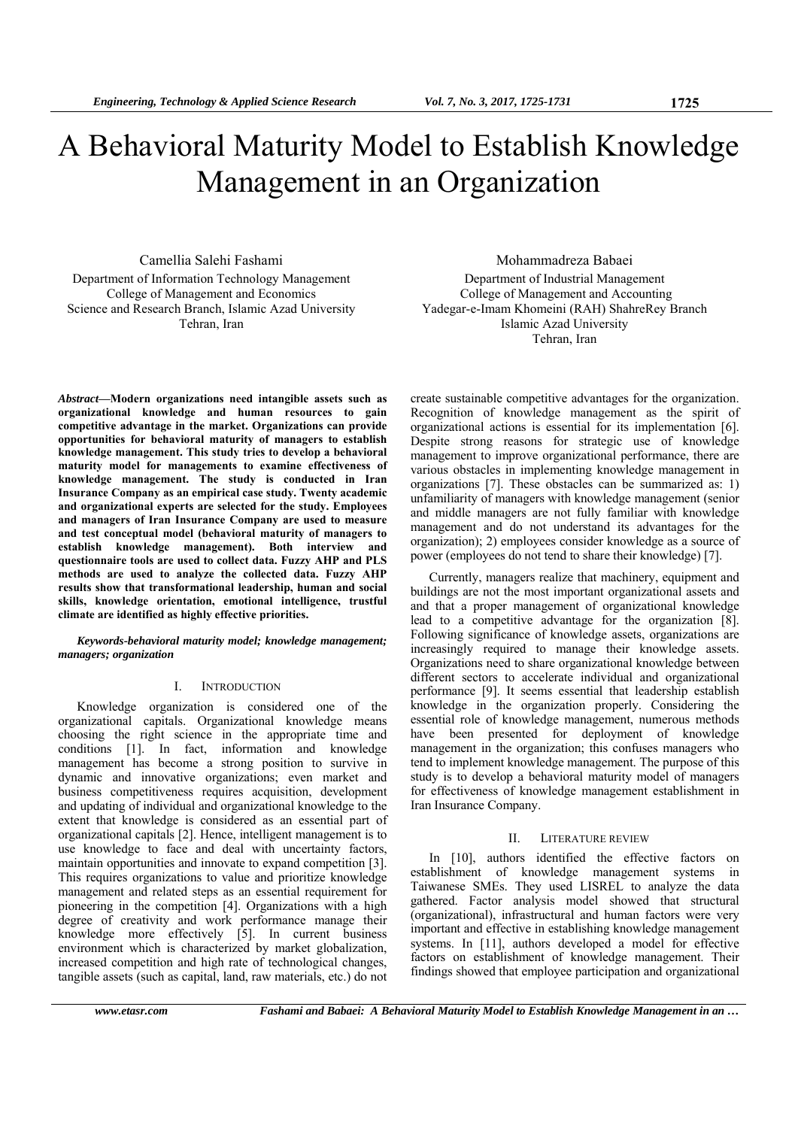# A Behavioral Maturity Model to Establish Knowledge Management in an Organization

Camellia Salehi Fashami Department of Information Technology Management College of Management and Economics Science and Research Branch, Islamic Azad University Tehran, Iran

Mohammadreza Babaei Department of Industrial Management College of Management and Accounting Yadegar-e-Imam Khomeini (RAH) ShahreRey Branch Islamic Azad University Tehran, Iran

*Abstract***—Modern organizations need intangible assets such as organizational knowledge and human resources to gain competitive advantage in the market. Organizations can provide opportunities for behavioral maturity of managers to establish knowledge management. This study tries to develop a behavioral maturity model for managements to examine effectiveness of knowledge management. The study is conducted in Iran Insurance Company as an empirical case study. Twenty academic and organizational experts are selected for the study. Employees and managers of Iran Insurance Company are used to measure and test conceptual model (behavioral maturity of managers to establish knowledge management). Both interview and questionnaire tools are used to collect data. Fuzzy AHP and PLS methods are used to analyze the collected data. Fuzzy AHP results show that transformational leadership, human and social skills, knowledge orientation, emotional intelligence, trustful climate are identified as highly effective priorities.** 

*Keywords-behavioral maturity model; knowledge management; managers; organization* 

## I. INTRODUCTION

Knowledge organization is considered one of the organizational capitals. Organizational knowledge means choosing the right science in the appropriate time and conditions [1]. In fact, information and knowledge management has become a strong position to survive in dynamic and innovative organizations; even market and business competitiveness requires acquisition, development and updating of individual and organizational knowledge to the extent that knowledge is considered as an essential part of organizational capitals [2]. Hence, intelligent management is to use knowledge to face and deal with uncertainty factors, maintain opportunities and innovate to expand competition [3]. This requires organizations to value and prioritize knowledge management and related steps as an essential requirement for pioneering in the competition [4]. Organizations with a high degree of creativity and work performance manage their knowledge more effectively [5]. In current business environment which is characterized by market globalization, increased competition and high rate of technological changes, tangible assets (such as capital, land, raw materials, etc.) do not

create sustainable competitive advantages for the organization. Recognition of knowledge management as the spirit of organizational actions is essential for its implementation [6]. Despite strong reasons for strategic use of knowledge management to improve organizational performance, there are various obstacles in implementing knowledge management in organizations [7]. These obstacles can be summarized as: 1) unfamiliarity of managers with knowledge management (senior and middle managers are not fully familiar with knowledge management and do not understand its advantages for the organization); 2) employees consider knowledge as a source of power (employees do not tend to share their knowledge) [7].

Currently, managers realize that machinery, equipment and buildings are not the most important organizational assets and and that a proper management of organizational knowledge lead to a competitive advantage for the organization [8]. Following significance of knowledge assets, organizations are increasingly required to manage their knowledge assets. Organizations need to share organizational knowledge between different sectors to accelerate individual and organizational performance [9]. It seems essential that leadership establish knowledge in the organization properly. Considering the essential role of knowledge management, numerous methods have been presented for deployment of knowledge management in the organization; this confuses managers who tend to implement knowledge management. The purpose of this study is to develop a behavioral maturity model of managers for effectiveness of knowledge management establishment in Iran Insurance Company.

#### II. LITERATURE REVIEW

In [10], authors identified the effective factors on establishment of knowledge management systems in Taiwanese SMEs. They used LISREL to analyze the data gathered. Factor analysis model showed that structural (organizational), infrastructural and human factors were very important and effective in establishing knowledge management systems. In [11], authors developed a model for effective factors on establishment of knowledge management. Their findings showed that employee participation and organizational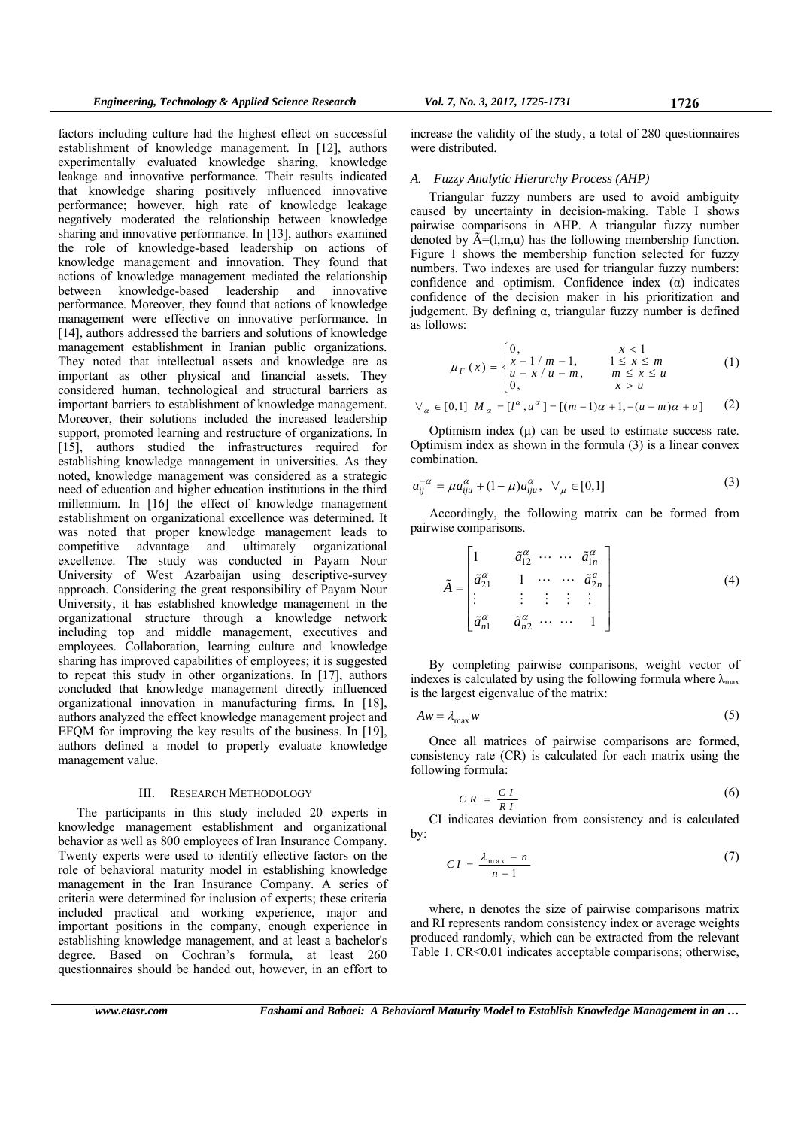factors including culture had the highest effect on successful establishment of knowledge management. In [12], authors experimentally evaluated knowledge sharing, knowledge leakage and innovative performance. Their results indicated that knowledge sharing positively influenced innovative performance; however, high rate of knowledge leakage negatively moderated the relationship between knowledge sharing and innovative performance. In [13], authors examined the role of knowledge-based leadership on actions of knowledge management and innovation. They found that actions of knowledge management mediated the relationship between knowledge-based leadership and innovative performance. Moreover, they found that actions of knowledge management were effective on innovative performance. In [14], authors addressed the barriers and solutions of knowledge management establishment in Iranian public organizations. They noted that intellectual assets and knowledge are as important as other physical and financial assets. They considered human, technological and structural barriers as important barriers to establishment of knowledge management. Moreover, their solutions included the increased leadership support, promoted learning and restructure of organizations. In [15], authors studied the infrastructures required for establishing knowledge management in universities. As they noted, knowledge management was considered as a strategic need of education and higher education institutions in the third millennium. In [16] the effect of knowledge management establishment on organizational excellence was determined. It was noted that proper knowledge management leads to competitive advantage and ultimately organizational excellence. The study was conducted in Payam Nour University of West Azarbaijan using descriptive-survey approach. Considering the great responsibility of Payam Nour University, it has established knowledge management in the organizational structure through a knowledge network including top and middle management, executives and employees. Collaboration, learning culture and knowledge sharing has improved capabilities of employees; it is suggested to repeat this study in other organizations. In [17], authors concluded that knowledge management directly influenced organizational innovation in manufacturing firms. In [18], authors analyzed the effect knowledge management project and EFQM for improving the key results of the business. In [19], authors defined a model to properly evaluate knowledge management value.

#### III. RESEARCH METHODOLOGY

The participants in this study included 20 experts in knowledge management establishment and organizational behavior as well as 800 employees of Iran Insurance Company. Twenty experts were used to identify effective factors on the role of behavioral maturity model in establishing knowledge management in the Iran Insurance Company. A series of criteria were determined for inclusion of experts; these criteria included practical and working experience, major and important positions in the company, enough experience in establishing knowledge management, and at least a bachelor's degree. Based on Cochran's formula, at least 260 questionnaires should be handed out, however, in an effort to

increase the validity of the study, a total of 280 questionnaires were distributed.

#### *A. Fuzzy Analytic Hierarchy Process (AHP)*

Triangular fuzzy numbers are used to avoid ambiguity caused by uncertainty in decision-making. Table I shows pairwise comparisons in AHP. A triangular fuzzy number denoted by  $\tilde{A}=(l,m,u)$  has the following membership function. Figure 1 shows the membership function selected for fuzzy numbers. Two indexes are used for triangular fuzzy numbers: confidence and optimism. Confidence index (α) indicates confidence of the decision maker in his prioritization and judgement. By defining α, triangular fuzzy number is defined as follows:

$$
\mu_F(x) = \begin{cases} 0, & x < 1 \\ x - 1/m - 1, & 1 \le x \le m \\ u - x/u - m, & m \le x \le u \\ 0, & x > u \end{cases}
$$
 (1)

$$
\forall_\alpha\in[0,1]\ M_\alpha=[l^\alpha,u^\alpha]=[(m-1)\alpha+1,-(u-m)\alpha+u]\qquad(2)
$$

Optimism index  $(\mu)$  can be used to estimate success rate. Optimism index as shown in the formula (3) is a linear convex combination.

$$
a_{ij}^{-\alpha} = \mu a_{iju}^{\alpha} + (1 - \mu) a_{iju}^{\alpha}, \ \ \forall_{\mu} \in [0,1]
$$
 (3)

Accordingly, the following matrix can be formed from pairwise comparisons.

$$
\tilde{A} = \begin{bmatrix}\n1 & \tilde{a}_{12}^{\alpha} & \cdots & \tilde{a}_{1n}^{\alpha} \\
\tilde{a}_{21}^{\alpha} & 1 & \cdots & \tilde{a}_{2n}^{\alpha} \\
\vdots & \vdots & \vdots & \vdots & \vdots \\
\tilde{a}_{n1}^{\alpha} & \tilde{a}_{n2}^{\alpha} & \cdots & 1\n\end{bmatrix}
$$
\n(4)

By completing pairwise comparisons, weight vector of indexes is calculated by using the following formula where  $\lambda_{\text{max}}$ is the largest eigenvalue of the matrix:

$$
Aw = \lambda_{\max} w \tag{5}
$$

Once all matrices of pairwise comparisons are formed, consistency rate (CR) is calculated for each matrix using the following formula:

$$
C R = \frac{C I}{R I} \tag{6}
$$

CI indicates deviation from consistency and is calculated by:

$$
CI = \frac{\lambda_{\max} - n}{n - 1} \tag{7}
$$

where, n denotes the size of pairwise comparisons matrix and RI represents random consistency index or average weights produced randomly, which can be extracted from the relevant Table 1. CR<0.01 indicates acceptable comparisons; otherwise,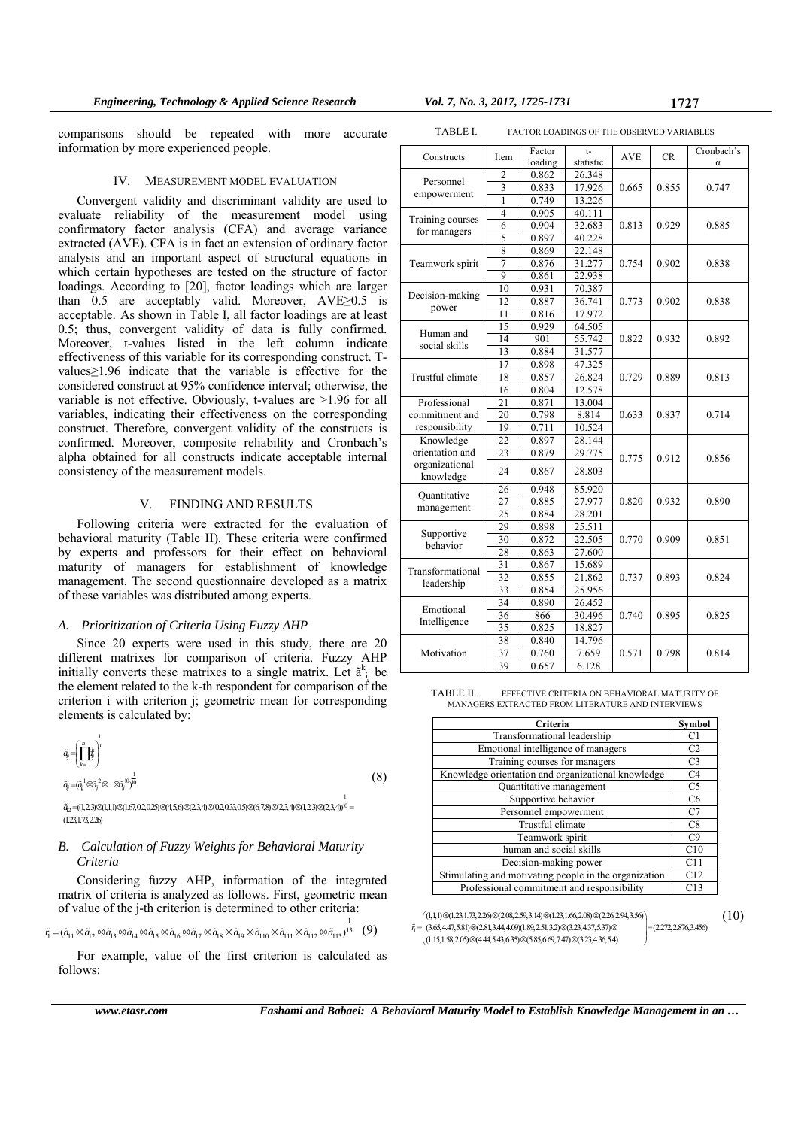comparisons should be repeated with more accurate information by more experienced people.

## IV. MEASUREMENT MODEL EVALUATION

Convergent validity and discriminant validity are used to evaluate reliability of the measurement model using confirmatory factor analysis (CFA) and average variance extracted (AVE). CFA is in fact an extension of ordinary factor analysis and an important aspect of structural equations in which certain hypotheses are tested on the structure of factor loadings. According to [20], factor loadings which are larger than 0.5 are acceptably valid. Moreover, AVE≥0.5 is acceptable. As shown in Table I, all factor loadings are at least 0.5; thus, convergent validity of data is fully confirmed. Moreover, t-values listed in the left column indicate effectiveness of this variable for its corresponding construct. Tvalues≥1.96 indicate that the variable is effective for the considered construct at 95% confidence interval; otherwise, the variable is not effective. Obviously, t-values are >1.96 for all variables, indicating their effectiveness on the corresponding construct. Therefore, convergent validity of the constructs is confirmed. Moreover, composite reliability and Cronbach's alpha obtained for all constructs indicate acceptable internal consistency of the measurement models.

# V. FINDING AND RESULTS

Following criteria were extracted for the evaluation of behavioral maturity (Table II). These criteria were confirmed by experts and professors for their effect on behavioral maturity of managers for establishment of knowledge management. The second questionnaire developed as a matrix of these variables was distributed among experts.

#### *A. Prioritization of Criteria Using Fuzzy AHP*

Since 20 experts were used in this study, there are 20 different matrixes for comparison of criteria. Fuzzy AHP initially converts these matrixes to a single matrix. Let  $\tilde{a}^{k}_{ij}$  be the element related to the k-th respondent for comparison of the criterion i with criterion j; geometric mean for corresponding elements is calculated by:

$$
\tilde{a}_{ij} = \left(\prod_{k=1}^{n} \mathbf{f}_{ij}^{k}\right)^{\frac{1}{n}}
$$
\n
$$
\tilde{a}_{ij} = (\tilde{a}_{ij}^{-1} \otimes \tilde{a}_{ij}^{-2} \otimes \dots \otimes \tilde{a}_{ij}^{-1})^{\frac{1}{10}}
$$
\n(8)

...<br>4<sub>2</sub> =((1,2,3)&(1,1,1)&(1.67,0.2,025)&(4,5,6)&(2,3,4)&(0,2,0.33,0.5)&(6,7,8)&(2,3,4)&(1,2,3)&(2,3,4)<sup>10</sup> =  $(1.23,1.73,2.26)$ 

# *B. Calculation of Fuzzy Weights for Behavioral Maturity Criteria*

Considering fuzzy AHP, information of the integrated matrix of criteria is analyzed as follows. First, geometric mean of value of the j-th criterion is determined to other criteria:

$$
\tilde{r_1}=(\tilde{a}_{11}\otimes\tilde{a}_{12}\otimes\tilde{a}_{13}\otimes\tilde{a}_{14}\otimes\tilde{a}_{15}\otimes\tilde{a}_{16}\otimes\tilde{a}_{17}\otimes\tilde{a}_{18}\otimes\tilde{a}_{19}\otimes\tilde{a}_{110}\otimes\tilde{a}_{111}\otimes\tilde{a}_{112}\otimes\tilde{a}_{113})^{\frac{1}{13}}\quad \ (9)
$$

For example, value of the first criterion is calculated as follows:

| Constructs                     | Item            | Factor  | $t-$      | <b>AVE</b> | CR    | Cronbach's |
|--------------------------------|-----------------|---------|-----------|------------|-------|------------|
|                                |                 | loading | statistic |            |       | $\alpha$   |
| Personnel<br>empowerment       | 2               | 0.862   | 26.348    |            |       |            |
|                                | $\overline{3}$  | 0.833   | 17.926    | 0.665      | 0.855 | 0.747      |
|                                | 1               | 0.749   | 13.226    |            |       |            |
| Training courses               | $\overline{4}$  | 0.905   | 40.111    |            | 0.929 | 0.885      |
| for managers                   | 6               | 0.904   | 32.683    | 0.813      |       |            |
|                                | 5               | 0.897   | 40.228    |            |       |            |
|                                | 8               | 0.869   | 22.148    |            | 0.902 | 0.838      |
| Teamwork spirit                | $\overline{7}$  | 0.876   | 31.277    | 0.754      |       |            |
|                                | 9               | 0.861   | 22.938    |            |       |            |
|                                | 10              | 0.931   | 70.387    |            | 0.902 | 0.838      |
| Decision-making                | 12              | 0.887   | 36.741    | 0.773      |       |            |
| power                          | 11              | 0.816   | 17.972    |            |       |            |
|                                | 15              | 0.929   | 64.505    |            |       | 0.892      |
| Human and<br>social skills     | 14              | 901     | 55.742    | 0.822      | 0.932 |            |
|                                | 13              | 0.884   | 31.577    |            |       |            |
|                                | 17              | 0.898   | 47.325    |            | 0.889 | 0.813      |
| Trustful climate               | 18              | 0.857   | 26.824    | 0.729      |       |            |
|                                | 16              | 0.804   | 12.578    |            |       |            |
| Professional                   | 21              | 0.871   | 13.004    |            |       |            |
| commitment and                 | 20              | 0.798   | 8.814     | 0.633      | 0.837 | 0.714      |
| responsibility                 | 19              | 0.711   | 10.524    |            |       |            |
| Knowledge                      | 22              | 0.897   | 28.144    | 0.775      | 0.912 | 0.856      |
| orientation and                | 23              | 0.879   | 29.775    |            |       |            |
| organizational<br>knowledge    | 24              | 0.867   | 28.803    |            |       |            |
|                                | 26              | 0.948   | 85.920    |            | 0.932 | 0.890      |
| Quantitative                   | $\overline{27}$ | 0.885   | 27.977    | 0.820      |       |            |
| management                     | 25              | 0.884   | 28.201    |            |       |            |
|                                | 29              | 0.898   | 25.511    |            | 0.909 | 0.851      |
| Supportive<br>behavior         | 30              | 0.872   | 22.505    | 0.770      |       |            |
|                                | 28              | 0.863   | 27.600    |            |       |            |
| Transformational<br>leadership | 31              | 0.867   | 15.689    |            | 0.893 | 0.824      |
|                                | 32              | 0.855   | 21.862    | 0.737      |       |            |
|                                | 33              | 0.854   | 25.956    |            |       |            |
| Emotional<br>Intelligence      | 34              | 0.890   | 26.452    |            | 0.895 | 0.825      |
|                                | 36              | 866     | 30.496    | 0.740      |       |            |
|                                | 35              | 0.825   | 18.827    |            |       |            |
| Motivation                     | 38              | 0.840   | 14.796    |            |       |            |
|                                | 37              | 0.760   | 7.659     | 0.571      | 0.798 | 0.814      |
|                                | 39              | 0.657   | 6.128     |            |       |            |

TABLE I. FACTOR LOADINGS OF THE OBSERVED VARIABLES

TABLE II. EFFECTIVE CRITERIA ON BEHAVIORAL MATURITY OF MANAGERS EXTRACTED FROM LITERATURE AND INTERVIEWS

| Criteria                                              | Symbol         |
|-------------------------------------------------------|----------------|
| Transformational leadership                           | C1             |
| Emotional intelligence of managers                    | C2             |
| Training courses for managers                         | C <sub>3</sub> |
| Knowledge orientation and organizational knowledge    | C4             |
| Quantitative management                               | C5             |
| Supportive behavior                                   | C <sub>6</sub> |
| Personnel empowerment                                 | C7             |
| Trustful climate                                      | C8             |
| Teamwork spirit                                       | C9             |
| human and social skills                               | C10            |
| Decision-making power                                 | C11            |
| Stimulating and motivating people in the organization | C12            |
| Professional commitment and responsibility            | C13            |

1  $(1,1,1) \otimes (1.23,1.73,2.26) \otimes (2.08,2.59,3.14) \otimes (1.23,1.66,2.08) \otimes (2.26,2.94,3.56)$  $\left\{ \begin{matrix} (1,1,1) \otimes (1.23,1.73,2.26) \otimes (2.08,2.59,3.14) \otimes (1.23,1.66,2.08) \otimes (2.26,2.94,3.56) \ \tilde{r}_1 = \end{matrix} \right. \left\{ \begin{matrix} (3,65,4.47,5.81) \otimes (2.81,3.44,4.09) (1.89,2.51,3.2) \otimes (3.23,4.37,5.37) \otimes \end{matrix} \right. \right. \left. \left. \begin{matrix} (2.272,2$  $(1.15, 1.58, 2.05) \otimes (4.44, 5.43, 6.35) \otimes (5.85, 6.69, 7.47) \otimes (3.23, 4.36, 5.4)$ *r* (10)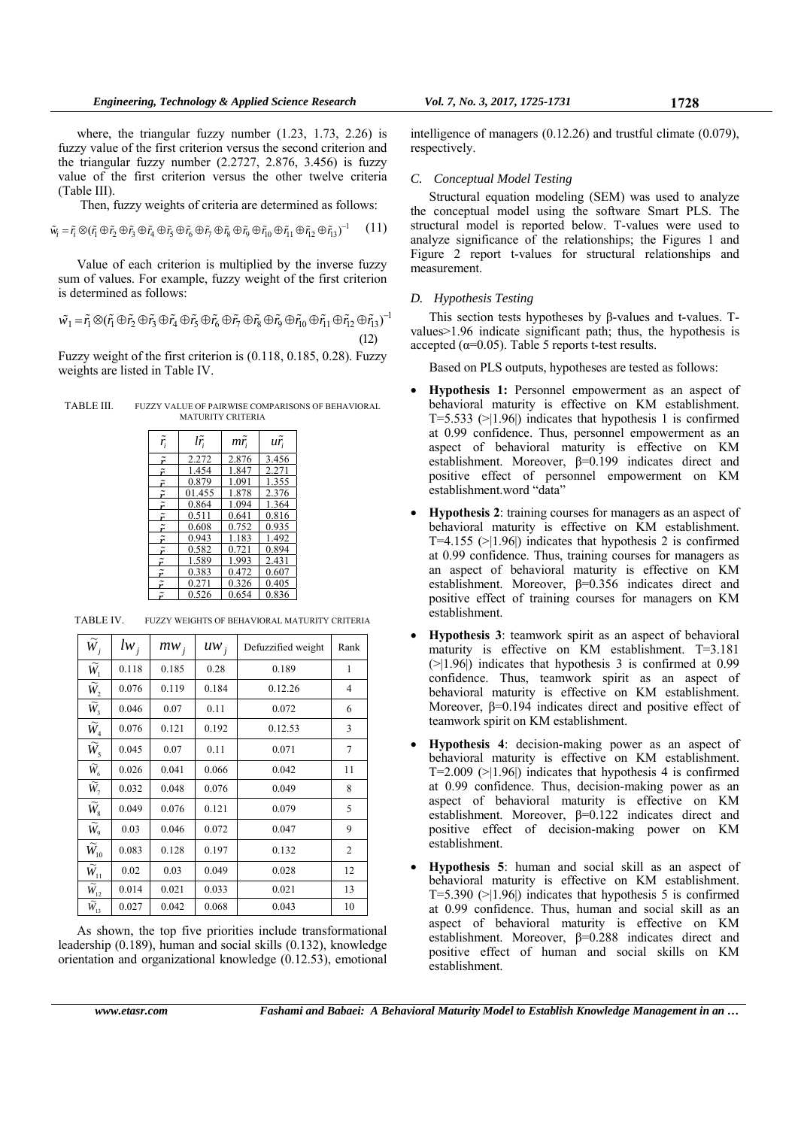where, the triangular fuzzy number (1.23, 1.73, 2.26) is fuzzy value of the first criterion versus the second criterion and the triangular fuzzy number (2.2727, 2.876, 3.456) is fuzzy value of the first criterion versus the other twelve criteria (Table III).

Then, fuzzy weights of criteria are determined as follows:

$$
\tilde{w}_i = \tilde{r}_i \otimes (\tilde{r}_1 \oplus \tilde{r}_2 \oplus \tilde{r}_3 \oplus \tilde{r}_4 \oplus \tilde{r}_5 \oplus \tilde{r}_6 \oplus \tilde{r}_7 \oplus \tilde{r}_8 \oplus \tilde{r}_9 \oplus \tilde{r}_{10} \oplus \tilde{r}_{11} \oplus \tilde{r}_{12} \oplus \tilde{r}_{13})^{-1} \qquad (11)
$$

Value of each criterion is multiplied by the inverse fuzzy sum of values. For example, fuzzy weight of the first criterion is determined as follows:

$$
\tilde{w_1} = \tilde{r}_1 \otimes (\tilde{r}_1 \oplus \tilde{r}_2 \oplus \tilde{r}_3 \oplus \tilde{r}_4 \oplus \tilde{r}_5 \oplus \tilde{r}_6 \oplus \tilde{r}_7 \oplus \tilde{r}_8 \oplus \tilde{r}_9 \oplus \tilde{r}_{10} \oplus \tilde{r}_{11} \oplus \tilde{r}_{12} \oplus \tilde{r}_{13})^{-1}
$$
\n(12)

Fuzzy weight of the first criterion is (0.118, 0.185, 0.28). Fuzzy weights are listed in Table IV.

TABLE III. FUZZY VALUE OF PAIRWISE COMPARISONS OF BEHAVIORAL MATURITY CRITERIA

| $r_i$                    | $l\tilde{r}$ | mr    | ur <sub>i</sub> |
|--------------------------|--------------|-------|-----------------|
| $\tilde{\bf r}$          | 2.272        | 2.876 | 3.456           |
| $\tilde{\tilde{r}}$      | 1.454        | 1.847 | 2.271           |
| $\tilde{\boldsymbol{r}}$ | 0.879        | 1.091 | 1.355           |
| $\tilde{\bf r}$          | 01.455       | 1.878 | 2.376           |
| $\tilde{\boldsymbol{r}}$ | 0.864        | 1.094 | 1.364           |
| ĩ                        | 0.511        | 0.641 | 0.816           |
| $\tilde{\tilde{r}}$      | 0.608        | 0.752 | 0.935           |
| $\tilde{\tilde{r}}$      | 0.943        | 1.183 | 1.492           |
| $\tilde{\tilde{r}}$      | 0.582        | 0.721 | 0.894           |
| $\tilde{\boldsymbol{r}}$ | 1.589        | 1.993 | 2.431           |
| $\tilde{\boldsymbol{r}}$ | 0.383        | 0.472 | 0.607           |
| $\mathbf{r}$             | 0.271        | 0.326 | 0.405           |
|                          | 0.526        | 0.654 | 0.836           |

| $\widetilde{W}_j$            | $lw_i$ | $mw_i$ | $uw_i$ | Defuzzified weight | Rank |
|------------------------------|--------|--------|--------|--------------------|------|
| $\overline{\widetilde{W}}_1$ | 0.118  | 0.185  | 0.28   | 0.189              | 1    |
| $\widetilde{W}_2$            | 0.076  | 0.119  | 0.184  | 0.12.26            | 4    |
| $\widetilde{W}_3$            | 0.046  | 0.07   | 0.11   | 0.072              | 6    |
| $\widetilde{W}_4$            | 0.076  | 0.121  | 0.192  | 0.12.53            | 3    |
| $\widetilde{W}_5$            | 0.045  | 0.07   | 0.11   | 0.071              | 7    |
| $\widetilde{W}_6$            | 0.026  | 0.041  | 0.066  | 0.042              | 11   |
| $\widetilde{W}_7$            | 0.032  | 0.048  | 0.076  | 0.049              | 8    |
| $\widetilde{W}_8$            | 0.049  | 0.076  | 0.121  | 0.079              | 5    |
| $\widetilde{W}_9$            | 0.03   | 0.046  | 0.072  | 0.047              | 9    |
| $\widetilde{W}_{10}$         | 0.083  | 0.128  | 0.197  | 0.132              | 2    |
| $\widetilde{W}_{11}$         | 0.02   | 0.03   | 0.049  | 0.028              | 12   |
| $\widetilde{W}_{12}$         | 0.014  | 0.021  | 0.033  | 0.021              | 13   |
| $\widetilde{W}_{13}$         | 0.027  | 0.042  | 0.068  | 0.043              | 10   |

TABLE IV. FUZZY WEIGHTS OF BEHAVIORAL MATURITY CRITERIA

As shown, the top five priorities include transformational leadership (0.189), human and social skills (0.132), knowledge orientation and organizational knowledge (0.12.53), emotional

intelligence of managers (0.12.26) and trustful climate (0.079), respectively.

#### *C. Conceptual Model Testing*

Structural equation modeling (SEM) was used to analyze the conceptual model using the software Smart PLS. The structural model is reported below. T-values were used to analyze significance of the relationships; the Figures 1 and Figure 2 report t-values for structural relationships and measurement.

# *D. Hypothesis Testing*

This section tests hypotheses by β-values and t-values. Tvalues>1.96 indicate significant path; thus, the hypothesis is accepted ( $\alpha$ =0.05). Table 5 reports t-test results.

Based on PLS outputs, hypotheses are tested as follows:

- **Hypothesis 1:** Personnel empowerment as an aspect of behavioral maturity is effective on KM establishment.  $T=5.533$  ( $>1.96$ ) indicates that hypothesis 1 is confirmed at 0.99 confidence. Thus, personnel empowerment as an aspect of behavioral maturity is effective on KM establishment. Moreover, β=0.199 indicates direct and positive effect of personnel empowerment on KM establishment.word "data"
- **Hypothesis 2**: training courses for managers as an aspect of behavioral maturity is effective on KM establishment. T=4.155  $(>|1.96|)$  indicates that hypothesis 2 is confirmed at 0.99 confidence. Thus, training courses for managers as an aspect of behavioral maturity is effective on KM establishment. Moreover, β=0.356 indicates direct and positive effect of training courses for managers on KM establishment.
- **Hypothesis 3**: teamwork spirit as an aspect of behavioral maturity is effective on KM establishment. T=3.181  $(>|1.96|)$  indicates that hypothesis 3 is confirmed at 0.99 confidence. Thus, teamwork spirit as an aspect of behavioral maturity is effective on KM establishment. Moreover, β=0.194 indicates direct and positive effect of teamwork spirit on KM establishment.
- **Hypothesis 4**: decision-making power as an aspect of behavioral maturity is effective on KM establishment. T=2.009  $(>|1.96|)$  indicates that hypothesis 4 is confirmed at 0.99 confidence. Thus, decision-making power as an aspect of behavioral maturity is effective on KM establishment. Moreover, β=0.122 indicates direct and positive effect of decision-making power on KM establishment.
- **Hypothesis 5**: human and social skill as an aspect of behavioral maturity is effective on KM establishment.  $T=5.390$  ( $>11.96$ ) indicates that hypothesis 5 is confirmed at 0.99 confidence. Thus, human and social skill as an aspect of behavioral maturity is effective on KM establishment. Moreover, β=0.288 indicates direct and positive effect of human and social skills on KM establishment.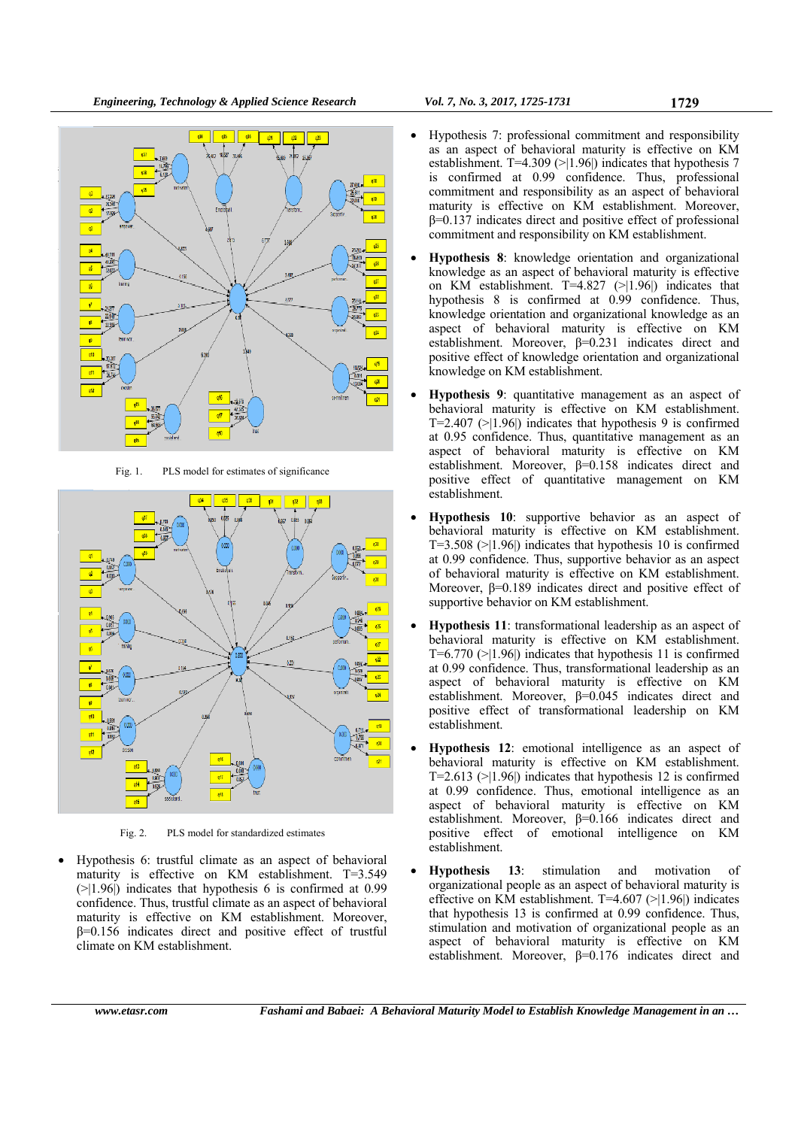

Fig. 1. PLS model for estimates of significance



Fig. 2. PLS model for standardized estimates

 Hypothesis 6: trustful climate as an aspect of behavioral maturity is effective on KM establishment. T=3.549  $($ >|1.96|) indicates that hypothesis 6 is confirmed at 0.99 confidence. Thus, trustful climate as an aspect of behavioral maturity is effective on KM establishment. Moreover, β=0.156 indicates direct and positive effect of trustful climate on KM establishment.

- Hypothesis 7: professional commitment and responsibility as an aspect of behavioral maturity is effective on KM establishment. T=4.309 (>|1.96|) indicates that hypothesis 7 is confirmed at 0.99 confidence. Thus, professional commitment and responsibility as an aspect of behavioral maturity is effective on KM establishment. Moreover,  $β=0.137$  indicates direct and positive effect of professional commitment and responsibility on KM establishment.
- **Hypothesis 8**: knowledge orientation and organizational knowledge as an aspect of behavioral maturity is effective on KM establishment. T=4.827  $(>|1.96|)$  indicates that hypothesis 8 is confirmed at 0.99 confidence. Thus, knowledge orientation and organizational knowledge as an aspect of behavioral maturity is effective on KM establishment. Moreover,  $\beta = 0.231$  indicates direct and positive effect of knowledge orientation and organizational knowledge on KM establishment.
- **Hypothesis 9**: quantitative management as an aspect of behavioral maturity is effective on KM establishment.  $T=2.407$  ( $>1.96$ ) indicates that hypothesis 9 is confirmed at 0.95 confidence. Thus, quantitative management as an aspect of behavioral maturity is effective on KM establishment. Moreover, β=0.158 indicates direct and positive effect of quantitative management on KM establishment.
- **Hypothesis 10**: supportive behavior as an aspect of behavioral maturity is effective on KM establishment.  $T=3.508$  ( $>1.96$ ) indicates that hypothesis 10 is confirmed at 0.99 confidence. Thus, supportive behavior as an aspect of behavioral maturity is effective on KM establishment. Moreover, β=0.189 indicates direct and positive effect of supportive behavior on KM establishment.
- **Hypothesis 11**: transformational leadership as an aspect of behavioral maturity is effective on KM establishment.  $T=6.770$  ( $>1.96$ ) indicates that hypothesis 11 is confirmed at 0.99 confidence. Thus, transformational leadership as an aspect of behavioral maturity is effective on KM establishment. Moreover, β=0.045 indicates direct and positive effect of transformational leadership on KM establishment.
- **Hypothesis 12**: emotional intelligence as an aspect of behavioral maturity is effective on KM establishment. T=2.613  $(>1.96)$  indicates that hypothesis 12 is confirmed at 0.99 confidence. Thus, emotional intelligence as an aspect of behavioral maturity is effective on KM establishment. Moreover, β=0.166 indicates direct and positive effect of emotional intelligence on KM establishment.
- **Hypothesis 13**: stimulation and motivation of organizational people as an aspect of behavioral maturity is effective on KM establishment. T=4.607 (>|1.96|) indicates that hypothesis 13 is confirmed at 0.99 confidence. Thus, stimulation and motivation of organizational people as an aspect of behavioral maturity is effective on KM establishment. Moreover, β=0.176 indicates direct and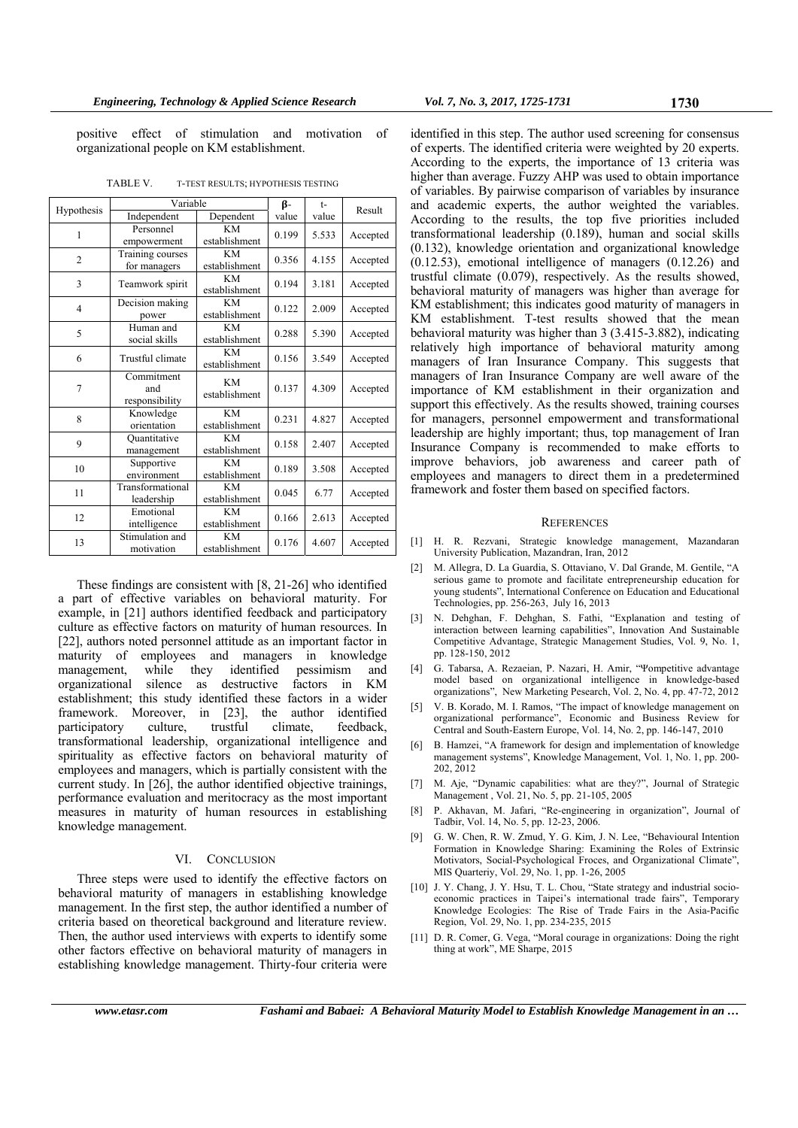positive effect of stimulation and motivation of organizational people on KM establishment.

|                | Variable                            | β-                         | $t-$  | Result |          |
|----------------|-------------------------------------|----------------------------|-------|--------|----------|
| Hypothesis     | Independent                         | Dependent                  | value | value  |          |
| 1              | Personnel<br>empowerment            | KM<br>establishment        | 0.199 | 5.533  | Accepted |
| $\overline{2}$ | Training courses<br>for managers    | KМ<br>establishment        | 0.356 | 4.155  | Accepted |
| 3              | Teamwork spirit                     | KM<br>establishment        | 0.194 | 3.181  | Accepted |
| $\overline{4}$ | Decision making<br>power            | KM<br>establishment        | 0.122 | 2.009  | Accepted |
| 5              | Human and<br>social skills          | KM<br>establishment        | 0.288 | 5.390  | Accepted |
| 6              | Trustful climate                    | KM<br>establishment        | 0.156 | 3.549  | Accepted |
| 7              | Commitment<br>and<br>responsibility | KМ<br>establishment        | 0.137 | 4.309  | Accepted |
| 8              | Knowledge<br>orientation            | KM<br>establishment        | 0.231 | 4.827  | Accepted |
| 9              | Quantitative<br>management          | KM<br>establishment        | 0.158 | 2.407  | Accepted |
| 10             | Supportive<br>environment           | <b>KM</b><br>establishment | 0.189 | 3.508  | Accepted |
| 11             | Transformational<br>leadership      | KM<br>establishment        | 0.045 | 6.77   | Accepted |
| 12             | Emotional<br>intelligence           | KM<br>establishment        | 0.166 | 2.613  | Accepted |
| 13             | Stimulation and<br>motivation       | KM<br>establishment        | 0.176 | 4.607  | Accepted |

TABLE V. T-TEST RESULTS; HYPOTHESIS TESTING

These findings are consistent with [8, 21-26] who identified a part of effective variables on behavioral maturity. For example, in [21] authors identified feedback and participatory culture as effective factors on maturity of human resources. In [22], authors noted personnel attitude as an important factor in maturity of employees and managers in knowledge management, while they identified pessimism and management, while they identified pessimism and organizational silence as destructive factors in KM establishment; this study identified these factors in a wider framework. Moreover, in [23], the author identified participatory culture, trustful climate, feedback, transformational leadership, organizational intelligence and spirituality as effective factors on behavioral maturity of employees and managers, which is partially consistent with the current study. In [26], the author identified objective trainings, performance evaluation and meritocracy as the most important measures in maturity of human resources in establishing knowledge management.

# VI. CONCLUSION

Three steps were used to identify the effective factors on behavioral maturity of managers in establishing knowledge management. In the first step, the author identified a number of criteria based on theoretical background and literature review. Then, the author used interviews with experts to identify some other factors effective on behavioral maturity of managers in establishing knowledge management. Thirty-four criteria were

identified in this step. The author used screening for consensus of experts. The identified criteria were weighted by 20 experts. According to the experts, the importance of 13 criteria was higher than average. Fuzzy AHP was used to obtain importance of variables. By pairwise comparison of variables by insurance and academic experts, the author weighted the variables. According to the results, the top five priorities included transformational leadership (0.189), human and social skills (0.132), knowledge orientation and organizational knowledge (0.12.53), emotional intelligence of managers (0.12.26) and trustful climate (0.079), respectively. As the results showed, behavioral maturity of managers was higher than average for KM establishment; this indicates good maturity of managers in KM establishment. T-test results showed that the mean behavioral maturity was higher than 3 (3.415-3.882), indicating relatively high importance of behavioral maturity among managers of Iran Insurance Company. This suggests that managers of Iran Insurance Company are well aware of the importance of KM establishment in their organization and support this effectively. As the results showed, training courses for managers, personnel empowerment and transformational leadership are highly important; thus, top management of Iran Insurance Company is recommended to make efforts to improve behaviors, job awareness and career path of employees and managers to direct them in a predetermined framework and foster them based on specified factors.

#### **REFERENCES**

- [1] H. R. Rezvani, Strategic knowledge management, Mazandaran University Publication, Mazandran, Iran, 2012
- [2] M. Allegra, D. La Guardia, S. Ottaviano, V. Dal Grande, M. Gentile, "A serious game to promote and facilitate entrepreneurship education for young students", International Conference on Education and Educational Technologies, pp. 256-263, July 16, 2013
- [3] N. Dehghan, F. Dehghan, S. Fathi, "Explanation and testing of interaction between learning capabilities", Innovation And Sustainable Competitive Advantage, Strategic Management Studies, Vol. 9, No. 1, pp. 128-150, 2012
- [4] G. Tabarsa, A. Rezaeian, P. Nazari, H. Amir, "Ψompetitive advantage model based on organizational intelligence in knowledge-based organizations", Νew Μarketing Ρesearch, Vol. 2, No. 4, pp. 47-72, 2012
- [5] V. B. Korado, M. I. Ramos, "The impact of knowledge management on organizational performance", Economic and Business Review for Central and South-Eastern Europe, Vol. 14, No. 2, pp. 146-147, 2010
- [6] B. Hamzei, "A framework for design and implementation of knowledge management systems", Knowledge Management, Vol. 1, No. 1, pp. 200-202, 2012
- [7] M. Aje, "Dynamic capabilities: what are they?", Journal of Strategic Management , Vol. 21, No. 5, pp. 21-105, 2005
- [8] P. Akhavan, M. Jafari, "Re-engineering in organization", Journal of Tadbir, Vol. 14, No. 5, pp. 12-23, 2006.
- [9] G. W. Chen, R. W. Zmud, Y. G. Kim, J. N. Lee, "Behavioural Intention Formation in Knowledge Sharing: Examining the Roles of Extrinsic Motivators, Social-Psychological Froces, and Organizational Climate", MIS Quarteriy, Vol. 29, No. 1, pp. 1-26, 2005
- [10] J. Y. Chang, J. Y. Hsu, T. L. Chou, "State strategy and industrial socioeconomic practices in Taipei's international trade fairs", Temporary Knowledge Ecologies: The Rise of Trade Fairs in the Asia-Pacific Region, Vol. 29, No. 1, pp. 234-235, 2015
- [11] D. R. Comer, G. Vega, "Moral courage in organizations: Doing the right thing at work", ME Sharpe, 2015